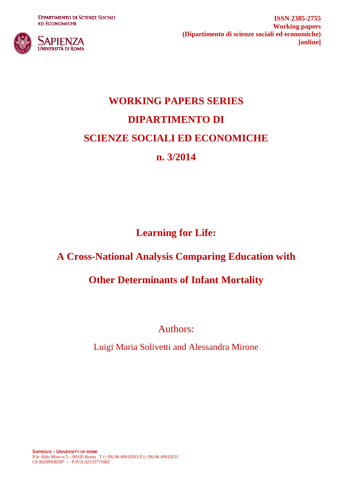**DIPARTIMENTO DI SCIENZE SOCIALI ED ECONOMICHE** 



**ISSN 2385-2755 Working papers (Dipartimento di scienze sociali ed economiche) [online]**

# **WORKING PAPERS SERIES DIPARTIMENTO DI SCIENZE SOCIALI ED ECONOMICHE n. 3/2014**

**Learning for Life:** 

# **A Cross-National Analysis Comparing Education with**

## **Other Determinants of Infant Mortality**

Authors:

Luigi Maria Solivetti and Alessandra Mirone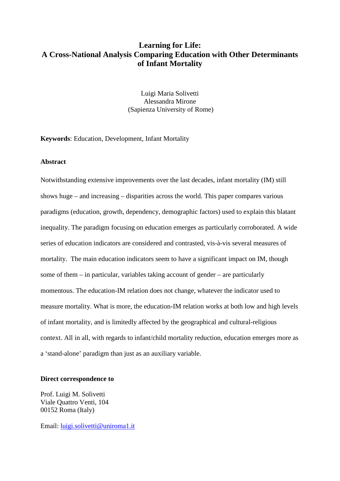### **Learning for Life: A Cross-National Analysis Comparing Education with Other Determinants of Infant Mortality**

Luigi Maria Solivetti Alessandra Mirone (Sapienza University of Rome)

**Keywords**: Education, Development, Infant Mortality

#### **Abstract**

Notwithstanding extensive improvements over the last decades, infant mortality (IM) still shows huge – and increasing – disparities across the world. This paper compares various paradigms (education, growth, dependency, demographic factors) used to explain this blatant inequality. The paradigm focusing on education emerges as particularly corroborated. A wide series of education indicators are considered and contrasted, vis-à-vis several measures of mortality. The main education indicators seem to have a significant impact on IM, though some of them – in particular, variables taking account of gender – are particularly momentous. The education-IM relation does not change, whatever the indicator used to measure mortality. What is more, the education-IM relation works at both low and high levels of infant mortality, and is limitedly affected by the geographical and cultural-religious context. All in all, with regards to infant/child mortality reduction, education emerges more as a 'stand-alone' paradigm than just as an auxiliary variable.

#### **Direct correspondence to**

Prof. Luigi M. Solivetti Viale Quattro Venti, 104 00152 Roma (Italy)

Email: [luigi.solivetti@uniroma1.it](mailto:luigi.solivetti@uniroma1.it)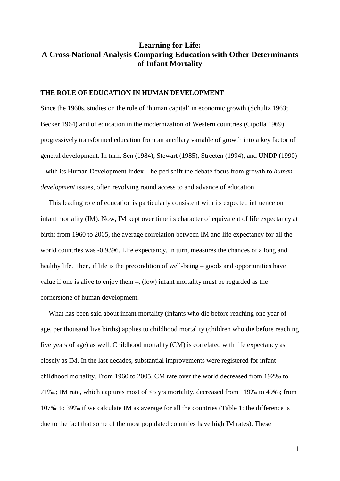### **Learning for Life: A Cross-National Analysis Comparing Education with Other Determinants of Infant Mortality**

#### **THE ROLE OF EDUCATION IN HUMAN DEVELOPMENT**

Since the 1960s, studies on the role of 'human capital' in economic growth (Schultz 1963; Becker 1964) and of education in the modernization of Western countries (Cipolla 1969) progressively transformed education from an ancillary variable of growth into a key factor of general development. In turn, Sen (1984), Stewart (1985), Streeten (1994), and UNDP (1990) – with its Human Development Index – helped shift the debate focus from growth to *human development* issues, often revolving round access to and advance of education.

This leading role of education is particularly consistent with its expected influence on infant mortality (IM). Now, IM kept over time its character of equivalent of life expectancy at birth: from 1960 to 2005, the average correlation between IM and life expectancy for all the world countries was -0.9396. Life expectancy, in turn, measures the chances of a long and healthy life. Then, if life is the precondition of well-being – goods and opportunities have value if one is alive to enjoy them –, (low) infant mortality must be regarded as the cornerstone of human development.

What has been said about infant mortality (infants who die before reaching one year of age, per thousand live births) applies to childhood mortality (children who die before reaching five years of age) as well. Childhood mortality (CM) is correlated with life expectancy as closely as IM. In the last decades, substantial improvements were registered for infantchildhood mortality. From 1960 to 2005, CM rate over the world decreased from 192‰ to 71‰.; IM rate, which captures most of <5 yrs mortality, decreased from 119‰ to 49‰; from 107‰ to 39‰ if we calculate IM as average for all the countries (Table 1: the difference is due to the fact that some of the most populated countries have high IM rates). These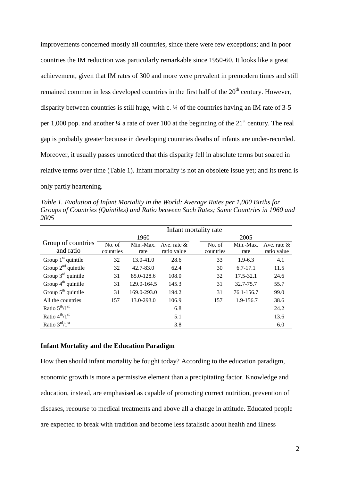improvements concerned mostly all countries, since there were few exceptions; and in poor countries the IM reduction was particularly remarkable since 1950-60. It looks like a great achievement, given that IM rates of 300 and more were prevalent in premodern times and still remained common in less developed countries in the first half of the  $20<sup>th</sup>$  century. However, disparity between countries is still huge, with c. ¼ of the countries having an IM rate of 3-5 per 1,000 pop. and another  $\frac{1}{4}$  a rate of over 100 at the beginning of the 21<sup>st</sup> century. The real gap is probably greater because in developing countries deaths of infants are under-recorded. Moreover, it usually passes unnoticed that this disparity fell in absolute terms but soared in relative terms over time (Table 1). Infant mortality is not an obsolete issue yet; and its trend is only partly heartening.

*Table 1. Evolution of Infant Mortality in the World: Average Rates per 1,000 Births for Groups of Countries (Quintiles) and Ratio between Such Rates; Same Countries in 1960 and 2005*

|                                 | Infant mortality rate |                   |                               |                     |                   |                               |  |  |  |  |  |
|---------------------------------|-----------------------|-------------------|-------------------------------|---------------------|-------------------|-------------------------------|--|--|--|--|--|
|                                 |                       | 1960              |                               |                     | 2005              |                               |  |  |  |  |  |
| Group of countries<br>and ratio | No. of<br>countries   | Min.-Max.<br>rate | Ave. rate $\&$<br>ratio value | No. of<br>countries | Min.-Max.<br>rate | Ave. rate $\&$<br>ratio value |  |  |  |  |  |
| Group $1st$ quintile            | 32                    | $13.0 - 41.0$     | 28.6                          | 33                  | $1.9-6.3$         | 4.1                           |  |  |  |  |  |
| Group $2^{nd}$ quintile         | 32                    | $42.7 - 83.0$     | 62.4                          | 30                  | $6.7 - 17.1$      | 11.5                          |  |  |  |  |  |
| Group $3rd$ quintile            | 31                    | 85.0-128.6        | 108.0                         | 32                  | 17.5-32.1         | 24.6                          |  |  |  |  |  |
| Group $4^{th}$ quintile         | 31                    | 129.0-164.5       | 145.3                         | 31                  | 32.7-75.7         | 55.7                          |  |  |  |  |  |
| Group $5th$ quintile            | 31                    | $169.0 - 293.0$   | 194.2                         | 31                  | 76.1-156.7        | 99.0                          |  |  |  |  |  |
| All the countries               | 157                   | 13.0-293.0        | 106.9                         | 157                 | 1.9-156.7         | 38.6                          |  |  |  |  |  |
| Ratio $5th/1st$                 |                       |                   | 6.8                           |                     |                   | 24.2                          |  |  |  |  |  |
| Ratio $4^{th}/1$ <sup>st</sup>  |                       |                   | 5.1                           |                     |                   | 13.6                          |  |  |  |  |  |
| Ratio $3rd/1st$                 |                       |                   | 3.8                           |                     |                   | 6.0                           |  |  |  |  |  |

#### **Infant Mortality and the Education Paradigm**

How then should infant mortality be fought today? According to the education paradigm, economic growth is more a permissive element than a precipitating factor. Knowledge and education, instead, are emphasised as capable of promoting correct nutrition, prevention of diseases, recourse to medical treatments and above all a change in attitude. Educated people are expected to break with tradition and become less fatalistic about health and illness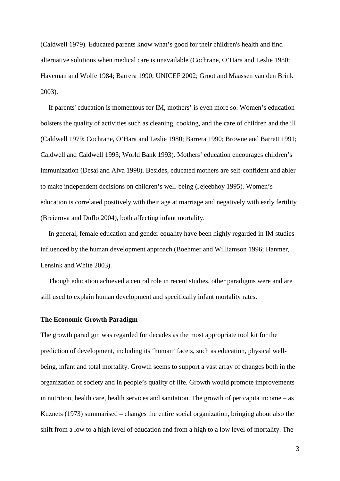(Caldwell 1979). Educated parents know what's good for their children's health and find alternative solutions when medical care is unavailable (Cochrane, O'Hara and Leslie 1980; Haveman and Wolfe 1984; Barrera 1990; UNICEF 2002; Groot and Maassen van den Brink 2003).

If parents' education is momentous for IM, mothers' is even more so. Women's education bolsters the quality of activities such as cleaning, cooking, and the care of children and the ill (Caldwell 1979; Cochrane, O'Hara and Leslie 1980; Barrera 1990; Browne and Barrett 1991; Caldwell and Caldwell 1993; World Bank 1993). Mothers' education encourages children's immunization (Desai and Alva 1998). Besides, educated mothers are self-confident and abler to make independent decisions on children's well-being (Jejeebhoy 1995). Women's education is correlated positively with their age at marriage and negatively with early fertility (Breierova and Duflo 2004), both affecting infant mortality.

In general, female education and gender equality have been highly regarded in IM studies influenced by the human development approach (Boehmer and Williamson 1996; Hanmer, Lensink and White 2003).

Though education achieved a central role in recent studies, other paradigms were and are still used to explain human development and specifically infant mortality rates.

#### **The Economic Growth Paradigm**

The growth paradigm was regarded for decades as the most appropriate tool kit for the prediction of development, including its 'human' facets, such as education, physical wellbeing, infant and total mortality. Growth seems to support a vast array of changes both in the organization of society and in people's quality of life. Growth would promote improvements in nutrition, health care, health services and sanitation. The growth of per capita income – as Kuznets (1973) summarised – changes the entire social organization, bringing about also the shift from a low to a high level of education and from a high to a low level of mortality. The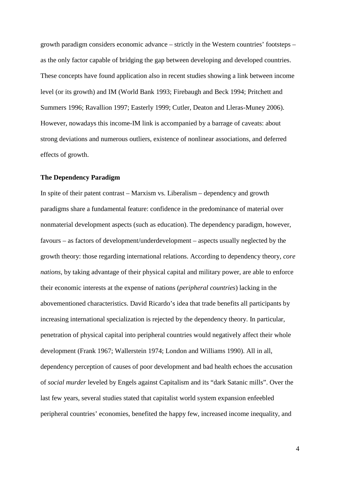growth paradigm considers economic advance – strictly in the Western countries' footsteps – as the only factor capable of bridging the gap between developing and developed countries. These concepts have found application also in recent studies showing a link between income level (or its growth) and IM (World Bank 1993; Firebaugh and Beck 1994; Pritchett and Summers 1996; Ravallion 1997; Easterly 1999; Cutler, Deaton and Lleras-Muney 2006). However, nowadays this income-IM link is accompanied by a barrage of caveats: about strong deviations and numerous outliers, existence of nonlinear associations, and deferred effects of growth.

#### **The Dependency Paradigm**

In spite of their patent contrast – Marxism vs. Liberalism – dependency and growth paradigms share a fundamental feature: confidence in the predominance of material over nonmaterial development aspects (such as education). The dependency paradigm, however, favours – as factors of development/underdevelopment – aspects usually neglected by the growth theory: those regarding international relations. According to dependency theory, *core nations,* by taking advantage of their physical capital and military power, are able to enforce their economic interests at the expense of nations (*peripheral countries*) lacking in the abovementioned characteristics. David Ricardo's idea that trade benefits all participants by increasing international specialization is rejected by the dependency theory. In particular, penetration of physical capital into peripheral countries would negatively affect their whole development (Frank 1967; Wallerstein 1974; London and Williams 1990). All in all, dependency perception of causes of poor development and bad health echoes the accusation of *social murder* leveled by Engels against Capitalism and its "dark Satanic mills". Over the last few years, several studies stated that capitalist world system expansion enfeebled peripheral countries' economies, benefited the happy few, increased income inequality, and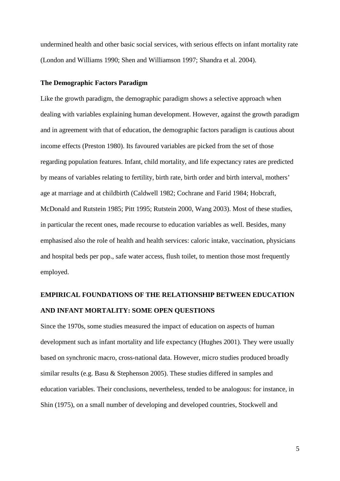undermined health and other basic social services, with serious effects on infant mortality rate (London and Williams 1990; Shen and Williamson 1997; Shandra et al. 2004).

#### **The Demographic Factors Paradigm**

Like the growth paradigm, the demographic paradigm shows a selective approach when dealing with variables explaining human development. However, against the growth paradigm and in agreement with that of education, the demographic factors paradigm is cautious about income effects (Preston 1980). Its favoured variables are picked from the set of those regarding population features. Infant, child mortality, and life expectancy rates are predicted by means of variables relating to fertility, birth rate, birth order and birth interval, mothers' age at marriage and at childbirth (Caldwell 1982; Cochrane and Farid 1984; Hobcraft, McDonald and Rutstein 1985; Pitt 1995; Rutstein 2000, Wang 2003). Most of these studies, in particular the recent ones, made recourse to education variables as well. Besides, many emphasised also the role of health and health services: caloric intake, vaccination, physicians and hospital beds per pop., safe water access, flush toilet, to mention those most frequently employed.

### **EMPIRICAL FOUNDATIONS OF THE RELATIONSHIP BETWEEN EDUCATION AND INFANT MORTALITY: SOME OPEN QUESTIONS**

Since the 1970s, some studies measured the impact of education on aspects of human development such as infant mortality and life expectancy (Hughes 2001). They were usually based on synchronic macro, cross-national data. However, micro studies produced broadly similar results (e.g. Basu & Stephenson 2005). These studies differed in samples and education variables. Their conclusions, nevertheless, tended to be analogous: for instance, in Shin (1975), on a small number of developing and developed countries, Stockwell and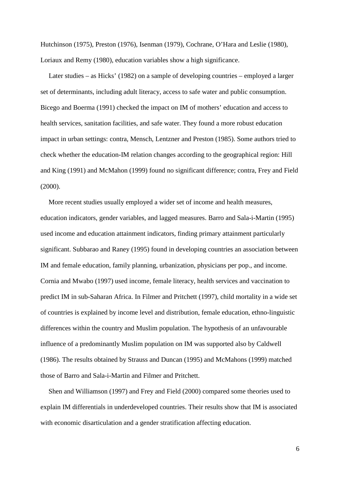Hutchinson (1975), Preston (1976), Isenman (1979), Cochrane, O'Hara and Leslie (1980), Loriaux and Remy (1980), education variables show a high significance.

Later studies – as Hicks' (1982) on a sample of developing countries – employed a larger set of determinants, including adult literacy, access to safe water and public consumption. Bicego and Boerma (1991) checked the impact on IM of mothers' education and access to health services, sanitation facilities, and safe water. They found a more robust education impact in urban settings: contra, Mensch, Lentzner and Preston (1985). Some authors tried to check whether the education-IM relation changes according to the geographical region: Hill and King (1991) and McMahon (1999) found no significant difference; contra, Frey and Field (2000).

More recent studies usually employed a wider set of income and health measures, education indicators, gender variables, and lagged measures. Barro and Sala-i-Martin (1995) used income and education attainment indicators, finding primary attainment particularly significant. Subbarao and Raney (1995) found in developing countries an association between IM and female education, family planning, urbanization, physicians per pop., and income. Cornia and Mwabo (1997) used income, female literacy, health services and vaccination to predict IM in sub-Saharan Africa. In Filmer and Pritchett (1997), child mortality in a wide set of countries is explained by income level and distribution, female education, ethno-linguistic differences within the country and Muslim population. The hypothesis of an unfavourable influence of a predominantly Muslim population on IM was supported also by Caldwell (1986). The results obtained by Strauss and Duncan (1995) and McMahons (1999) matched those of Barro and Sala-i-Martin and Filmer and Pritchett.

Shen and Williamson (1997) and Frey and Field (2000) compared some theories used to explain IM differentials in underdeveloped countries. Their results show that IM is associated with economic disarticulation and a gender stratification affecting education.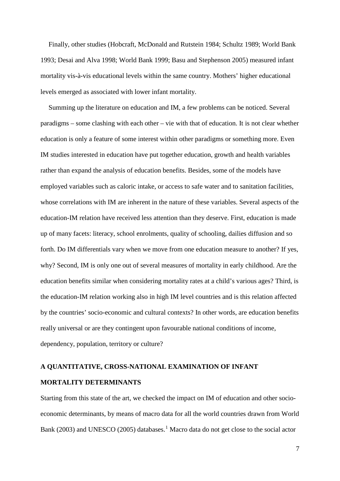Finally, other studies (Hobcraft, McDonald and Rutstein 1984; Schultz 1989; World Bank 1993; Desai and Alva 1998; World Bank 1999; Basu and Stephenson 2005) measured infant mortality vis-à-vis educational levels within the same country. Mothers' higher educational levels emerged as associated with lower infant mortality.

Summing up the literature on education and IM, a few problems can be noticed. Several paradigms – some clashing with each other – vie with that of education. It is not clear whether education is only a feature of some interest within other paradigms or something more. Even IM studies interested in education have put together education, growth and health variables rather than expand the analysis of education benefits. Besides, some of the models have employed variables such as caloric intake, or access to safe water and to sanitation facilities, whose correlations with IM are inherent in the nature of these variables. Several aspects of the education-IM relation have received less attention than they deserve. First, education is made up of many facets: literacy, school enrolments, quality of schooling, dailies diffusion and so forth. Do IM differentials vary when we move from one education measure to another? If yes, why? Second, IM is only one out of several measures of mortality in early childhood. Are the education benefits similar when considering mortality rates at a child's various ages? Third, is the education-IM relation working also in high IM level countries and is this relation affected by the countries' socio-economic and cultural contexts? In other words, are education benefits really universal or are they contingent upon favourable national conditions of income, dependency, population, territory or culture?

### **A QUANTITATIVE, CROSS-NATIONAL EXAMINATION OF INFANT MORTALITY DETERMINANTS**

Starting from this state of the art, we checked the impact on IM of education and other socioeconomic determinants, by means of macro data for all the world countries drawn from World Bank (2003) and UNESCO (2005) databases.<sup>[1](#page-33-0)</sup> Macro data do not get close to the social actor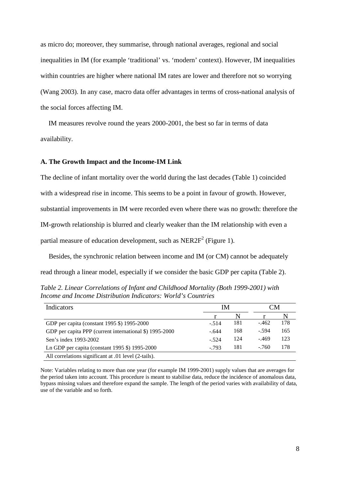as micro do; moreover, they summarise, through national averages, regional and social inequalities in IM (for example 'traditional' vs. 'modern' context). However, IM inequalities within countries are higher where national IM rates are lower and therefore not so worrying (Wang 2003). In any case, macro data offer advantages in terms of cross-national analysis of the social forces affecting IM.

IM measures revolve round the years 2000-2001, the best so far in terms of data availability.

#### **A. The Growth Impact and the Income-IM Link**

The decline of infant mortality over the world during the last decades (Table 1) coincided with a widespread rise in income. This seems to be a point in favour of growth. However, substantial improvements in IM were recorded even where there was no growth: therefore the IM-growth relationship is blurred and clearly weaker than the IM relationship with even a partial measure of education development, such as  $NER2F<sup>2</sup>$  (Figure 1).

Besides, the synchronic relation between income and IM (or CM) cannot be adequately read through a linear model, especially if we consider the basic GDP per capita (Table 2).

*Table 2. Linear Correlations of Infant and Childhood Mortality (Both 1999-2001) with Income and Income Distribution Indicators: World's Countries*

| Indicators                                              | IΜ      | ⊡M  |         |     |
|---------------------------------------------------------|---------|-----|---------|-----|
|                                                         |         |     |         |     |
| GDP per capita (constant 1995 \$) 1995-2000             | $-.514$ | 181 | $-462$  | 178 |
| GDP per capita PPP (current international \$) 1995-2000 | $-.644$ | 168 | $-.594$ | 165 |
| Sen's index 1993-2002                                   | $-.524$ | 124 | $-469$  | 123 |
| Ln GDP per capita (constant 1995 \$) 1995-2000          | $-793$  | 181 | $-.760$ | 178 |
| All correlations significant at .01 level (2-tails).    |         |     |         |     |

Note: Variables relating to more than one year (for example IM 1999-2001) supply values that are averages for the period taken into account. This procedure is meant to stabilise data, reduce the incidence of anomalous data, bypass missing values and therefore expand the sample. The length of the period varies with availability of data, use of the variable and so forth.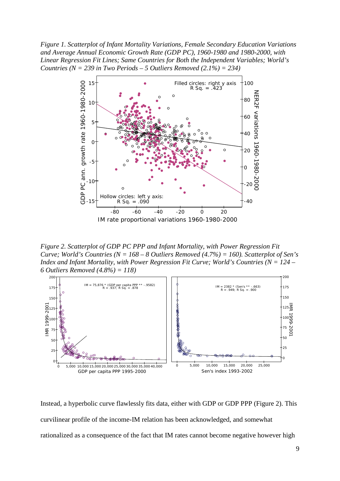*Figure 1. Scatterplot of Infant Mortality Variations, Female Secondary Education Variations and Average Annual Economic Growth Rate (GDP PC), 1960-1980 and 1980-2000, with Linear Regression Fit Lines; Same Countries for Both the Independent Variables; World's Countries (N = 239 in Two Periods – 5 Outliers Removed (2.1%) = 234)*



*Figure 2. Scatterplot of GDP PC PPP and Infant Mortality, with Power Regression Fit Curve; World's Countries (N = 168 – 8 Outliers Removed (4.7%) = 160). Scatterplot of Sen's Index and Infant Mortality, with Power Regression Fit Curve; World's Countries (N = 124 – 6 Outliers Removed (4.8%) = 118)*



Instead, a hyperbolic curve flawlessly fits data, either with GDP or GDP PPP (Figure 2). This curvilinear profile of the income-IM relation has been acknowledged, and somewhat rationalized as a consequence of the fact that IM rates cannot become negative however high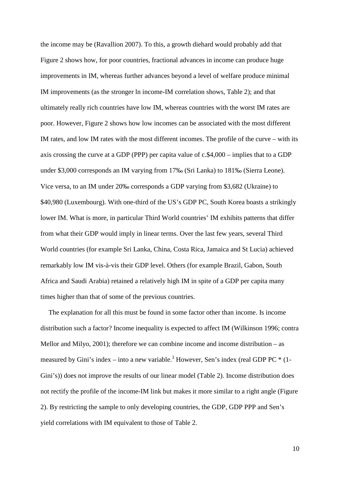the income may be (Ravallion 2007). To this, a growth diehard would probably add that Figure 2 shows how, for poor countries, fractional advances in income can produce huge improvements in IM, whereas further advances beyond a level of welfare produce minimal IM improvements (as the stronger ln income-IM correlation shows, Table 2); and that ultimately really rich countries have low IM, whereas countries with the worst IM rates are poor. However, Figure 2 shows how low incomes can be associated with the most different IM rates, and low IM rates with the most different incomes. The profile of the curve – with its axis crossing the curve at a GDP (PPP) per capita value of c.\$4,000 – implies that to a GDP under \$3,000 corresponds an IM varying from 17‰ (Sri Lanka) to 181‰ (Sierra Leone). Vice versa, to an IM under 20‰ corresponds a GDP varying from \$3,682 (Ukraine) to \$40,980 (Luxembourg). With one-third of the US's GDP PC, South Korea boasts a strikingly lower IM. What is more, in particular Third World countries' IM exhibits patterns that differ from what their GDP would imply in linear terms. Over the last few years, several Third World countries (for example Sri Lanka, China, Costa Rica, Jamaica and St Lucia) achieved remarkably low IM vis-à-vis their GDP level. Others (for example Brazil, Gabon, South Africa and Saudi Arabia) retained a relatively high IM in spite of a GDP per capita many times higher than that of some of the previous countries.

The explanation for all this must be found in some factor other than income. Is income distribution such a factor? Income inequality is expected to affect IM (Wilkinson 1996; contra Mellor and Milyo, 2001); therefore we can combine income and income distribution – as measured by Gini's index – into a new variable.<sup>3</sup> However, Sen's index (real GDP PC  $*$  (1-Gini's)) does not improve the results of our linear model (Table 2). Income distribution does not rectify the profile of the income-IM link but makes it more similar to a right angle (Figure 2). By restricting the sample to only developing countries, the GDP, GDP PPP and Sen's yield correlations with IM equivalent to those of Table 2.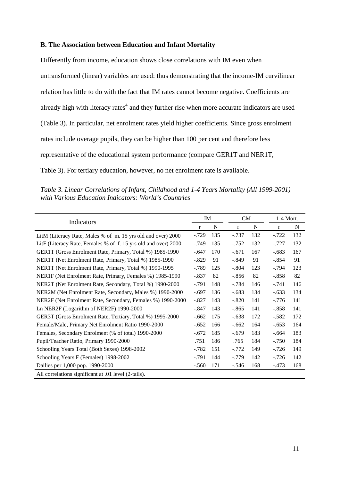#### **B. The Association between Education and Infant Mortality**

Differently from income, education shows close correlations with IM even when untransformed (linear) variables are used: thus demonstrating that the income-IM curvilinear relation has little to do with the fact that IM rates cannot become negative. Coefficients are already high with literacy rates $4$  and they further rise when more accurate indicators are used (Table 3). In particular, net enrolment rates yield higher coefficients. Since gross enrolment rates include overage pupils, they can be higher than 100 per cent and therefore less representative of the educational system performance (compare GER1T and NER1T, Table 3). For tertiary education, however, no net enrolment rate is available.

*Table 3. Linear Correlations of Infant, Childhood and 1-4 Years Mortality (All 1999-2001) with Various Education Indicators: World's Countries*

| Indicators                                                     |             | IM  | <b>CM</b> |     | $1-4$ Mort. |     |
|----------------------------------------------------------------|-------------|-----|-----------|-----|-------------|-----|
|                                                                | $\mathbf r$ | N   | $\bf r$   | N   | r           | N   |
| LitM (Literacy Rate, Males % of m. 15 yrs old and over) 2000   | $-.729$     | 135 | $-.737$   | 132 | $-.722$     | 132 |
| LitF (Literacy Rate, Females % of f. 15 yrs old and over) 2000 | $-.749$     | 135 | $-0.752$  | 132 | $-.727$     | 132 |
| GER1T (Gross Enrolment Rate, Primary, Total %) 1985-1990       | $-.647$     | 170 | $-.671$   | 167 | $-.683$     | 167 |
| NER1T (Net Enrolment Rate, Primary, Total %) 1985-1990         | $-.829$     | 91  | $-.849$   | 91  | $-.854$     | 91  |
| NER1T (Net Enrolment Rate, Primary, Total %) 1990-1995         | $-.789$     | 125 | $-.804$   | 123 | $-.794$     | 123 |
| NER1F (Net Enrolment Rate, Primary, Females %) 1985-1990       | $-.837$     | 82  | $-.856$   | 82  | $-.858$     | 82  |
| NER2T (Net Enrolment Rate, Secondary, Total %) 1990-2000       | $-.791$     | 148 | $-.784$   | 146 | $-.741$     | 146 |
| NER2M (Net Enrolment Rate, Secondary, Males %) 1990-2000       | $-.697$     | 136 | $-.683$   | 134 | $-.633$     | 134 |
| NER2F (Net Enrolment Rate, Secondary, Females %) 1990-2000     | $-.827$     | 143 | $-.820$   | 141 | $-.776$     | 141 |
| Ln NER2F (Logarithm of NER2F) 1990-2000                        | $-.847$     | 143 | $-.865$   | 141 | $-.858$     | 141 |
| GER3T (Gross Enrolment Rate, Tertiary, Total %) 1995-2000      | $-.662$     | 175 | $-.638$   | 172 | $-.582$     | 172 |
| Female/Male, Primary Net Enrolment Ratio 1990-2000             | $-.652$     | 166 | $-.662$   | 164 | $-.653$     | 164 |
| Females, Secondary Enrolment (% of total) 1990-2000            | $-.672$     | 185 | $-.679$   | 183 | $-.664$     | 183 |
| Pupil/Teacher Ratio, Primary 1990-2000                         | .751        | 186 | .765      | 184 | $-.750$     | 184 |
| Schooling Years Total (Both Sexes) 1998-2002                   | $-.782$     | 151 | $-.772$   | 149 | $-.726$     | 149 |
| Schooling Years F (Females) 1998-2002                          | $-.791$     | 144 | $-.779$   | 142 | $-.726$     | 142 |
| Dailies per 1,000 pop. 1990-2000                               | $-.560$     | 171 | $-.546$   | 168 | $-.473$     | 168 |
| All correlations significant at .01 level (2-tails).           |             |     |           |     |             |     |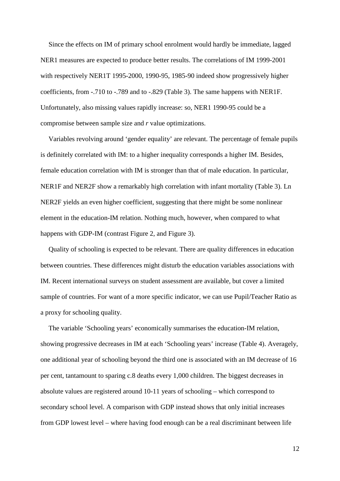Since the effects on IM of primary school enrolment would hardly be immediate, lagged NER1 measures are expected to produce better results. The correlations of IM 1999-2001 with respectively NER1T 1995-2000, 1990-95, 1985-90 indeed show progressively higher coefficients, from -.710 to -.789 and to -.829 (Table 3). The same happens with NER1F. Unfortunately, also missing values rapidly increase: so, NER1 1990-95 could be a compromise between sample size and *r* value optimizations.

Variables revolving around 'gender equality' are relevant. The percentage of female pupils is definitely correlated with IM: to a higher inequality corresponds a higher IM. Besides, female education correlation with IM is stronger than that of male education. In particular, NER1F and NER2F show a remarkably high correlation with infant mortality (Table 3). Ln NER2F yields an even higher coefficient, suggesting that there might be some nonlinear element in the education-IM relation. Nothing much, however, when compared to what happens with GDP-IM (contrast Figure 2, and Figure 3).

Quality of schooling is expected to be relevant. There are quality differences in education between countries. These differences might disturb the education variables associations with IM. Recent international surveys on student assessment are available, but cover a limited sample of countries. For want of a more specific indicator, we can use Pupil/Teacher Ratio as a proxy for schooling quality.

The variable 'Schooling years' economically summarises the education-IM relation, showing progressive decreases in IM at each 'Schooling years' increase (Table 4). Averagely, one additional year of schooling beyond the third one is associated with an IM decrease of 16 per cent, tantamount to sparing c.8 deaths every 1,000 children. The biggest decreases in absolute values are registered around 10-11 years of schooling – which correspond to secondary school level. A comparison with GDP instead shows that only initial increases from GDP lowest level – where having food enough can be a real discriminant between life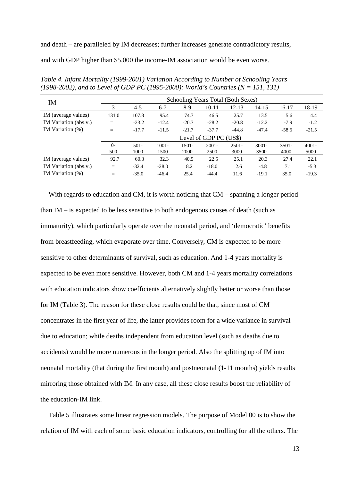and death – are paralleled by IM decreases; further increases generate contradictory results,

and with GDP higher than \$5,000 the income-IM association would be even worse.

| IM                    |              |                        |                  |               |                  | Schooling Years Total (Both Sexes) |                  |                                                                      |                  |  |  |  |
|-----------------------|--------------|------------------------|------------------|---------------|------------------|------------------------------------|------------------|----------------------------------------------------------------------|------------------|--|--|--|
|                       | 3            | $4 - 5$                | $6 - 7$          | $8-9$         | $10 - 11$        | $12 - 13$                          | 14-15            | 16-17<br>5.6<br>$-7.9$<br>$-58.5$<br>$3501 -$<br>4000<br>27.4<br>7.1 | 18-19            |  |  |  |
| IM (average values)   | 131.0        | 107.8                  | 95.4             | 74.7          | 46.5             | 25.7                               | 13.5             |                                                                      | 4.4              |  |  |  |
| IM Variation (abs.v.) | $=$          | $-23.2$                | $-12.4$          | $-20.7$       | $-28.2$          | $-20.8$                            | $-12.2$          |                                                                      | $-1.2$           |  |  |  |
| IM Variation $(\%)$   | $=$          | $-17.7$                | $-11.5$          | $-21.7$       | $-37.7$          | $-44.8$                            | $-47.4$          |                                                                      | $-21.5$          |  |  |  |
|                       |              | Level of GDP PC (US\$) |                  |               |                  |                                    |                  |                                                                      |                  |  |  |  |
|                       | $O -$<br>500 | $501 -$<br>1000        | $1001 -$<br>1500 | 1501-<br>2000 | $2001 -$<br>2500 | $2501 -$<br>3000                   | $3001 -$<br>3500 |                                                                      | $4001 -$<br>5000 |  |  |  |
| IM (average values)   | 92.7         | 60.3                   | 32.3             | 40.5          | 22.5             | 25.1                               | 20.3             |                                                                      | 22.1             |  |  |  |
| IM Variation (abs.v.) | $=$          | $-32.4$                | $-28.0$          | 8.2           | $-18.0$          | 2.6                                | $-4.8$           |                                                                      | $-5.3$           |  |  |  |
| IM Variation (%)      | =            | $-35.0$                | $-46.4$          | 25.4          | $-44.4$          | 11.6                               | $-19.1$          | 35.0                                                                 | $-19.3$          |  |  |  |

*Table 4. Infant Mortality (1999-2001) Variation According to Number of Schooling Years (1998-2002), and to Level of GDP PC (1995-2000): World's Countries (N = 151, 131)*

With regards to education and CM, it is worth noticing that CM – spanning a longer period than  $IM$  – is expected to be less sensitive to both endogenous causes of death (such as immaturity), which particularly operate over the neonatal period, and 'democratic' benefits from breastfeeding, which evaporate over time. Conversely, CM is expected to be more sensitive to other determinants of survival, such as education. And 1-4 years mortality is expected to be even more sensitive. However, both CM and 1-4 years mortality correlations with education indicators show coefficients alternatively slightly better or worse than those for IM (Table 3). The reason for these close results could be that, since most of CM concentrates in the first year of life, the latter provides room for a wide variance in survival due to education; while deaths independent from education level (such as deaths due to accidents) would be more numerous in the longer period. Also the splitting up of IM into neonatal mortality (that during the first month) and postneonatal (1-11 months) yields results mirroring those obtained with IM. In any case, all these close results boost the reliability of the education-IM link.

Table 5 illustrates some linear regression models. The purpose of Model 00 is to show the relation of IM with each of some basic education indicators, controlling for all the others. The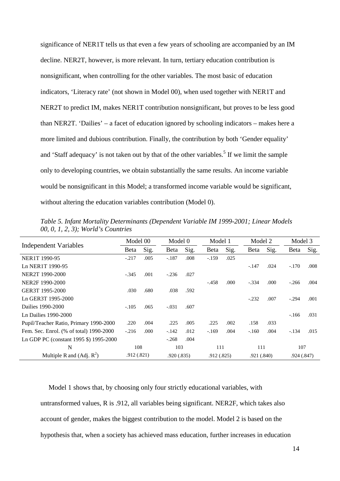significance of NER1T tells us that even a few years of schooling are accompanied by an IM decline. NER2T, however, is more relevant. In turn, tertiary education contribution is nonsignificant, when controlling for the other variables. The most basic of education indicators, 'Literacy rate' (not shown in Model 00), when used together with NER1T and NER2T to predict IM, makes NER1T contribution nonsignificant, but proves to be less good than NER2T. 'Dailies' – a facet of education ignored by schooling indicators – makes here a more limited and dubious contribution. Finally, the contribution by both 'Gender equality' and 'Staff adequacy' is not taken out by that of the other variables.<sup>5</sup> If we limit the sample only to developing countries, we obtain substantially the same results. An income variable would be nonsignificant in this Model; a transformed income variable would be significant, without altering the education variables contribution (Model 0).

|                                         | Model 00     |      | Model 0     |      | Model 1     |       | Model 2    |      | Model 3 |            |  |
|-----------------------------------------|--------------|------|-------------|------|-------------|-------|------------|------|---------|------------|--|
| Independent Variables                   | <b>B</b> eta | Sig. | Beta        | Sig. | Beta        | Sig.  | Beta       | Sig. | Beta    | Sig.       |  |
| NER1T 1990-95                           | $-.217$      | .005 | $-.187$     | .008 | $-.159$     | .025  |            |      |         |            |  |
| Ln NER1T 1990-95                        |              |      |             |      |             |       | $-.147$    | .024 | $-.170$ | .008       |  |
| NER2T 1990-2000                         | $-.345$      | .001 | $-.236$     | .027 |             |       |            |      |         |            |  |
| NER2F 1990-2000                         |              |      |             |      | $-.458$     | .000. | $-.334$    | .000 | $-.266$ | .004       |  |
| GER3T 1995-2000                         | .030         | .680 | .038        | .592 |             |       |            |      |         |            |  |
| Ln GER3T 1995-2000                      |              |      |             |      |             |       | $-.232$    | .007 | $-.294$ | .001       |  |
| Dailies 1990-2000                       | $-.105$      | .065 | $-.031$     | .607 |             |       |            |      |         |            |  |
| Ln Dailies 1990-2000                    |              |      |             |      |             |       |            |      | $-166$  | .031       |  |
| Pupil/Teacher Ratio, Primary 1990-2000  | .220         | .004 | .225        | .005 | .225        | .002  | .158       | .033 |         |            |  |
| Fem. Sec. Enrol. (% of total) 1990-2000 | $-.216$      | .000 | $-142$      | .012 | $-.169$     | .004  | $-.160$    | .004 | $-.134$ | .015       |  |
| Ln GDP PC (constant 1995 \$) 1995-2000  |              |      | $-.268$     | .004 |             |       |            |      |         |            |  |
| N                                       | 108          |      | 103         |      | 111         |       | 111        |      | 107     |            |  |
| Multiple R and $(Adj. R2)$              | .912(.821)   |      | .920 (.835) |      | .912 (.825) |       | .921(.840) |      |         | .924(.847) |  |

*Table 5. Infant Mortality Determinants (Dependent Variable IM 1999-2001; Linear Models 00, 0, 1, 2, 3); World's Countries*

Model 1 shows that, by choosing only four strictly educational variables, with untransformed values, R is .912, all variables being significant. NER2F, which takes also account of gender, makes the biggest contribution to the model. Model 2 is based on the hypothesis that, when a society has achieved mass education, further increases in education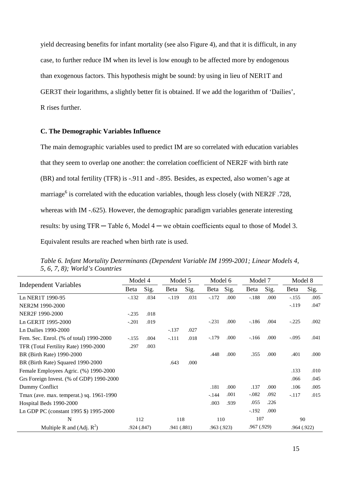yield decreasing benefits for infant mortality (see also Figure 4), and that it is difficult, in any case, to further reduce IM when its level is low enough to be affected more by endogenous than exogenous factors. This hypothesis might be sound: by using in lieu of NER1T and GER3T their logarithms, a slightly better fit is obtained. If we add the logarithm of 'Dailies', R rises further.

#### **C. The Demographic Variables Influence**

The main demographic variables used to predict IM are so correlated with education variables that they seem to overlap one another: the correlation coefficient of NER2F with birth rate (BR) and total fertility (TFR) is -.911 and -.895. Besides, as expected, also women's age at marriage<sup>6</sup> is correlated with the education variables, though less closely (with NER2F .728, whereas with IM -.625). However, the demographic paradigm variables generate interesting results: by using  $TFR - Table 6$ , Model  $4 -$  we obtain coefficients equal to those of Model 3. Equivalent results are reached when birth rate is used.

|                                          | Model 4     |      | Model 5    |      | Model 6    |      | Model 7     |      | Model 8    |      |
|------------------------------------------|-------------|------|------------|------|------------|------|-------------|------|------------|------|
| Independent Variables                    | Beta        | Sig. | Beta       | Sig. | Beta       | Sig. | Beta        | Sig. | Beta       | Sig. |
| Ln NER1T 1990-95                         | $-.132$     | .034 | $-.119$    | .031 | $-.172$    | .000 | $-.188$     | .000 | $-.155$    | .005 |
| NER2M 1990-2000                          |             |      |            |      |            |      |             |      | $-.119$    | .047 |
| NER2F 1990-2000                          | $-.235$     | .018 |            |      |            |      |             |      |            |      |
| Ln GER3T 1995-2000                       | $-.201$     | .019 |            |      | $-.231$    | .000 | $-186$      | .004 | $-.225$    | .002 |
| Ln Dailies 1990-2000                     |             |      | $-.137$    | .027 |            |      |             |      |            |      |
| Fem. Sec. Enrol. (% of total) 1990-2000  | $-.155$     | .004 | $-.111$    | .018 | $-179$     | .000 | $-166$      | .000 | $-.095$    | .041 |
| TFR (Total Fertility Rate) 1990-2000     | .297        | .003 |            |      |            |      |             |      |            |      |
| BR (Birth Rate) 1990-2000                |             |      |            |      | .448       | .000 | .355        | .000 | .401       | .000 |
| BR (Birth Rate) Squared 1990-2000        |             |      | .643       | .000 |            |      |             |      |            |      |
| Female Employees Agric. (%) 1990-2000    |             |      |            |      |            |      |             |      | .133       | .010 |
| Grs Foreign Invest. (% of GDP) 1990-2000 |             |      |            |      |            |      |             |      | .066       | .045 |
| Dummy Conflict                           |             |      |            |      | .181       | .000 | .137        | .000 | .106       | .005 |
| Tmax (ave. max. temperat.) sq. 1961-1990 |             |      |            |      | $-144$     | .001 | $-.082$     | .092 | $-.117$    | .015 |
| Hospital Beds 1990-2000                  |             |      |            |      | .003       | .939 | .055        | .226 |            |      |
| Ln GDP PC (constant 1995 \$) 1995-2000   |             |      |            |      |            |      | $-.192$     | .000 |            |      |
| N                                        | 112         |      | 118        |      | 110        |      | 107         |      | 90         |      |
| Multiple R and $(Adj. R2)$               | .924 (.847) |      | .941(.881) |      | .963(.923) |      | .967(0.929) |      | .964(.922) |      |

*Table 6. Infant Mortality Determinants (Dependent Variable IM 1999-2001; Linear Models 4, 5, 6, 7, 8); World's Countries*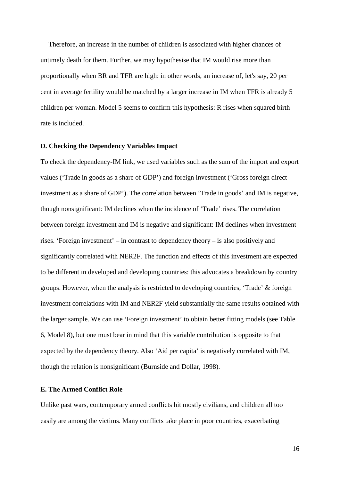Therefore, an increase in the number of children is associated with higher chances of untimely death for them. Further, we may hypothesise that IM would rise more than proportionally when BR and TFR are high: in other words, an increase of, let's say, 20 per cent in average fertility would be matched by a larger increase in IM when TFR is already 5 children per woman. Model 5 seems to confirm this hypothesis: R rises when squared birth rate is included.

#### **D. Checking the Dependency Variables Impact**

To check the dependency-IM link, we used variables such as the sum of the import and export values ('Trade in goods as a share of GDP') and foreign investment ('Gross foreign direct investment as a share of GDP'). The correlation between 'Trade in goods' and IM is negative, though nonsignificant: IM declines when the incidence of 'Trade' rises. The correlation between foreign investment and IM is negative and significant: IM declines when investment rises. 'Foreign investment' – in contrast to dependency theory – is also positively and significantly correlated with NER2F. The function and effects of this investment are expected to be different in developed and developing countries: this advocates a breakdown by country groups. However, when the analysis is restricted to developing countries, 'Trade' & foreign investment correlations with IM and NER2F yield substantially the same results obtained with the larger sample. We can use 'Foreign investment' to obtain better fitting models (see Table 6, Model 8), but one must bear in mind that this variable contribution is opposite to that expected by the dependency theory. Also 'Aid per capita' is negatively correlated with IM, though the relation is nonsignificant (Burnside and Dollar, 1998).

#### **E. The Armed Conflict Role**

Unlike past wars, contemporary armed conflicts hit mostly civilians, and children all too easily are among the victims. Many conflicts take place in poor countries, exacerbating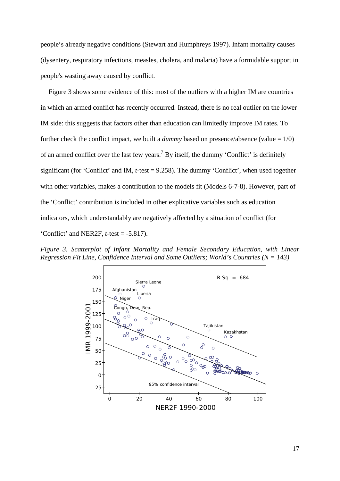people's already negative conditions (Stewart and Humphreys 1997). Infant mortality causes (dysentery, respiratory infections, measles, cholera, and malaria) have a formidable support in people's wasting away caused by conflict.

Figure 3 shows some evidence of this: most of the outliers with a higher IM are countries in which an armed conflict has recently occurred. Instead, there is no real outlier on the lower IM side: this suggests that factors other than education can limitedly improve IM rates. To further check the conflict impact, we built a *dummy* based on presence/absence (value  $= 1/0$ ) of an armed conflict over the last few years.<sup>7</sup> By itself, the dummy 'Conflict' is definitely significant (for 'Conflict' and IM, *t*-test = 9.258). The dummy 'Conflict', when used together with other variables, makes a contribution to the models fit (Models 6-7-8). However, part of the 'Conflict' contribution is included in other explicative variables such as education indicators, which understandably are negatively affected by a situation of conflict (for 'Conflict' and NER2F, *t*-test = -5.817).

*Figure 3. Scatterplot of Infant Mortality and Female Secondary Education, with Linear Regression Fit Line, Confidence Interval and Some Outliers; World's Countries (N = 143)*

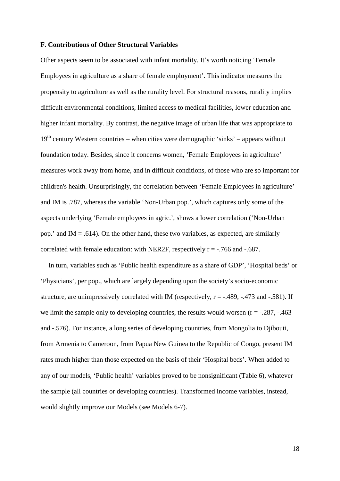#### **F. Contributions of Other Structural Variables**

Other aspects seem to be associated with infant mortality. It's worth noticing 'Female Employees in agriculture as a share of female employment'. This indicator measures the propensity to agriculture as well as the rurality level. For structural reasons, rurality implies difficult environmental conditions, limited access to medical facilities, lower education and higher infant mortality. By contrast, the negative image of urban life that was appropriate to  $19<sup>th</sup>$  century Western countries – when cities were demographic 'sinks' – appears without foundation today. Besides, since it concerns women, 'Female Employees in agriculture' measures work away from home, and in difficult conditions, of those who are so important for children's health. Unsurprisingly, the correlation between 'Female Employees in agriculture' and IM is .787, whereas the variable 'Non-Urban pop.', which captures only some of the aspects underlying 'Female employees in agric.', shows a lower correlation ('Non-Urban pop.' and IM  $= .614$ ). On the other hand, these two variables, as expected, are similarly correlated with female education: with NER2F, respectively  $r = -0.766$  and  $-0.687$ .

In turn, variables such as 'Public health expenditure as a share of GDP', 'Hospital beds' or 'Physicians', per pop., which are largely depending upon the society's socio-economic structure, are unimpressively correlated with IM (respectively,  $r = -0.489$ ,  $-0.473$  and  $-0.581$ ). If we limit the sample only to developing countries, the results would worsen  $(r = -0.287, -0.463)$ and -.576). For instance, a long series of developing countries, from Mongolia to Djibouti, from Armenia to Cameroon, from Papua New Guinea to the Republic of Congo, present IM rates much higher than those expected on the basis of their 'Hospital beds'. When added to any of our models, 'Public health' variables proved to be nonsignificant (Table 6), whatever the sample (all countries or developing countries). Transformed income variables, instead, would slightly improve our Models (see Models 6-7).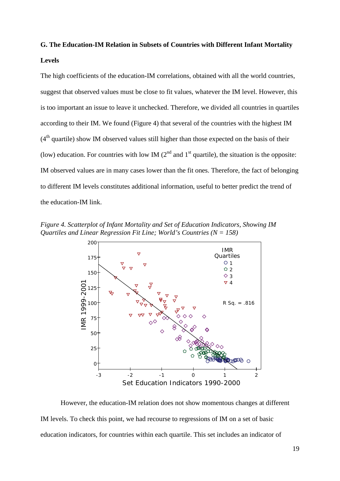### **G. The Education-IM Relation in Subsets of Countries with Different Infant Mortality**

#### **Levels**

The high coefficients of the education-IM correlations, obtained with all the world countries, suggest that observed values must be close to fit values, whatever the IM level. However, this is too important an issue to leave it unchecked. Therefore, we divided all countries in quartiles according to their IM. We found (Figure 4) that several of the countries with the highest IM  $(4<sup>th</sup>$  quartile) show IM observed values still higher than those expected on the basis of their (low) education. For countries with low IM ( $2<sup>nd</sup>$  and  $1<sup>st</sup>$  quartile), the situation is the opposite: IM observed values are in many cases lower than the fit ones. Therefore, the fact of belonging to different IM levels constitutes additional information, useful to better predict the trend of the education-IM link.

*Figure 4. Scatterplot of Infant Mortality and Set of Education Indicators, Showing IM Quartiles and Linear Regression Fit Line; World's Countries (N = 158)*



However, the education-IM relation does not show momentous changes at different IM levels. To check this point, we had recourse to regressions of IM on a set of basic education indicators, for countries within each quartile. This set includes an indicator of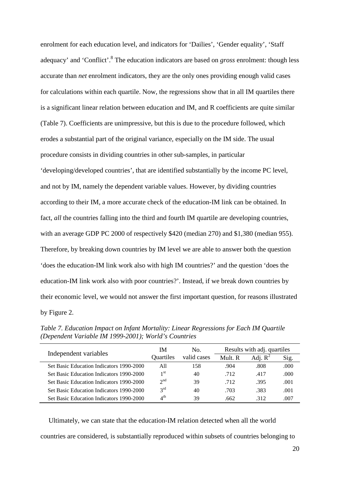enrolment for each education level, and indicators for 'Dailies', 'Gender equality', 'Staff adequacy' and 'Conflict'. <sup>8</sup> The education indicators are based on *gross* enrolment: though less accurate than *net* enrolment indicators, they are the only ones providing enough valid cases for calculations within each quartile. Now, the regressions show that in all IM quartiles there is a significant linear relation between education and IM, and R coefficients are quite similar (Table 7). Coefficients are unimpressive, but this is due to the procedure followed, which erodes a substantial part of the original variance, especially on the IM side. The usual procedure consists in dividing countries in other sub-samples, in particular 'developing/developed countries', that are identified substantially by the income PC level, and not by IM, namely the dependent variable values. However, by dividing countries according to their IM, a more accurate check of the education-IM link can be obtained. In fact, *all* the countries falling into the third and fourth IM quartile are developing countries, with an average GDP PC 2000 of respectively \$420 (median 270) and \$1,380 (median 955). Therefore, by breaking down countries by IM level we are able to answer both the question 'does the education-IM link work also with high IM countries?' and the question 'does the education-IM link work also with poor countries?'. Instead, if we break down countries by their economic level, we would not answer the first important question, for reasons illustrated by Figure 2.

| Independent variables                    | IΜ                      | No.         |         | Results with adj. quartiles |      |
|------------------------------------------|-------------------------|-------------|---------|-----------------------------|------|
|                                          | <b>Ouartiles</b>        | valid cases | Mult. R | Adj. $R^2$                  | Sig. |
| Set Basic Education Indicators 1990-2000 | All                     | 158         | .904    | .808                        | .000 |
| Set Basic Education Indicators 1990-2000 | 1 <sup>st</sup>         | 40          | .712    | .417                        | .000 |
| Set Basic Education Indicators 1990-2000 | $2^{nd}$                | 39          | .712    | .395                        | .001 |
| Set Basic Education Indicators 1990-2000 | $2^{\text{rd}}$         | 40          | .703    | .383                        | .001 |
| Set Basic Education Indicators 1990-2000 | $\Lambda$ <sup>th</sup> | 39          | .662    | 312                         | .007 |

*Table 7. Education Impact on Infant Mortality: Linear Regressions for Each IM Quartile (Dependent Variable IM 1999-2001); World's Countries*

Ultimately, we can state that the education-IM relation detected when all the world countries are considered, is substantially reproduced within subsets of countries belonging to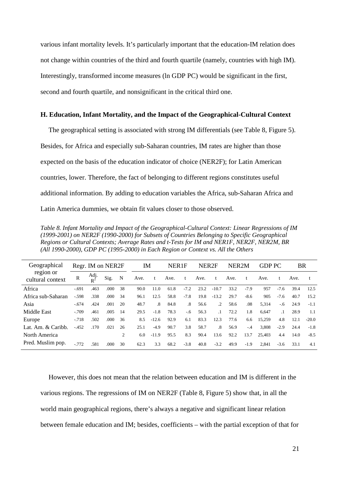various infant mortality levels. It's particularly important that the education-IM relation does not change within countries of the third and fourth quartile (namely, countries with high IM). Interestingly, transformed income measures (ln GDP PC) would be significant in the first, second and fourth quartile, and nonsignificant in the critical third one.

#### **H. Education, Infant Mortality, and the Impact of the Geographical-Cultural Context**

The geographical setting is associated with strong IM differentials (see Table 8, Figure 5). Besides, for Africa and especially sub-Saharan countries, IM rates are higher than those expected on the basis of the education indicator of choice (NER2F); for Latin American countries, lower. Therefore, the fact of belonging to different regions constitutes useful additional information. By adding to education variables the Africa, sub-Saharan Africa and Latin America dummies, we obtain fit values closer to those observed.

*Table 8. Infant Mortality and Impact of the Geographical-Cultural Context: Linear Regressions of IM (1999-2001) on NER2F (1990-2000) for Subsets of Countries Belonging to Specific Geographical Regions or Cultural Contexts; Average Rates and t-Tests for IM and NER1F, NER2F, NER2M, BR (All 1990-2000), GDP PC (1995-2000) in Each Region or Context vs. All the Others*

| Geographical       | Regr. IM on NER2F       |      |      |    | ΙM   |         | NER1F |           | NER <sub>2F</sub> |           | NER <sub>2M</sub> |        | <b>GDP PC</b> |           | BR   |         |
|--------------------|-------------------------|------|------|----|------|---------|-------|-----------|-------------------|-----------|-------------------|--------|---------------|-----------|------|---------|
| cultural context   | region or<br>R<br>$R^2$ | Adj. | Sig. | N  | Ave. | t       | Ave.  | t         | Ave.              | t         | Ave.              |        | Ave.          |           | Ave. |         |
| Africa             | $-.691$                 | .463 | .000 | 38 | 90.0 | 11.0    | 61.8  | $-7.2$    | 23.2              | $-10.7$   | 33.2              | $-7.9$ | 957           | $-7.6$    | 39.4 | 12.5    |
| Africa sub-Saharan | $-.598$                 | .338 | .000 | 34 | 96.1 | 12.5    | 58.8  | $-7.8$    | 19.8              | $-13.2$   | 29.7              | $-8.6$ | 905           | $-7.6$    | 40.7 | 15.2    |
| Asia               | $-.674$                 | .424 | .001 | 20 | 48.7 | .8      | 84.8  | $\cdot^8$ | 56.6              | $\cdot$ 2 | 58.6              | .08    | 5.314         | $-.6$     | 24.9 | $-1.1$  |
| Middle East        | $-.709$                 | .461 | .005 | 14 | 29.5 | $-1.8$  | 78.3  | $-6$      | 56.3              | .1        | 72.2              | 1.8    | 6.647         | $\cdot$ 1 | 28.9 | 1.1     |
| Europe             | $-.718$                 | .502 | .000 | 36 | 8.5  | $-12.6$ | 92.9  | 6.1       | 83.3              | 12.3      | 77.6              | 6.6    | 15.259        | 4.8       | 12.1 | $-20.0$ |
| Lat. Am. & Caribb. | $-.452$                 | .170 | .021 | 26 | 25.1 | $-4.9$  | 90.7  | 3.8       | 58.7              | .8        | 56.9              | $-.4$  | 3,808         | $-2.9$    | 24.4 | $-1.8$  |
| North America      |                         |      |      | 2  | 6.0  | $-11.9$ | 95.5  | 8.3       | 90.4              | 13.6      | 92.2              | 13.7   | 25.403        | 4.4       | 14.0 | $-8.5$  |
| Pred. Muslim pop.  | $-0.772$                | .581 | .000 | 30 | 62.3 | 3.3     | 68.2  | $-3.8$    | 40.8              | $-3.2$    | 49.9              | $-1.9$ | 2,841         | $-3.6$    | 33.1 | 4.1     |

However, this does not mean that the relation between education and IM is different in the various regions. The regressions of IM on NER2F (Table 8, Figure 5) show that, in all the world main geographical regions, there's always a negative and significant linear relation between female education and IM; besides, coefficients – with the partial exception of that for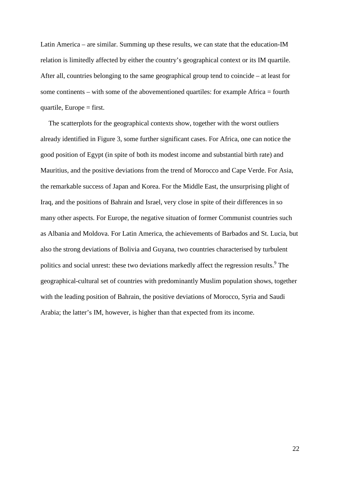Latin America – are similar. Summing up these results, we can state that the education-IM relation is limitedly affected by either the country's geographical context or its IM quartile. After all, countries belonging to the same geographical group tend to coincide – at least for some continents – with some of the abovementioned quartiles: for example Africa = fourth quartile, Europe  $=$  first.

The scatterplots for the geographical contexts show, together with the worst outliers already identified in Figure 3, some further significant cases. For Africa, one can notice the good position of Egypt (in spite of both its modest income and substantial birth rate) and Mauritius, and the positive deviations from the trend of Morocco and Cape Verde. For Asia, the remarkable success of Japan and Korea. For the Middle East, the unsurprising plight of Iraq, and the positions of Bahrain and Israel, very close in spite of their differences in so many other aspects. For Europe, the negative situation of former Communist countries such as Albania and Moldova. For Latin America, the achievements of Barbados and St. Lucia, but also the strong deviations of Bolivia and Guyana, two countries characterised by turbulent politics and social unrest: these two deviations markedly affect the regression results.<sup>9</sup> The geographical-cultural set of countries with predominantly Muslim population shows, together with the leading position of Bahrain, the positive deviations of Morocco, Syria and Saudi Arabia; the latter's IM, however, is higher than that expected from its income.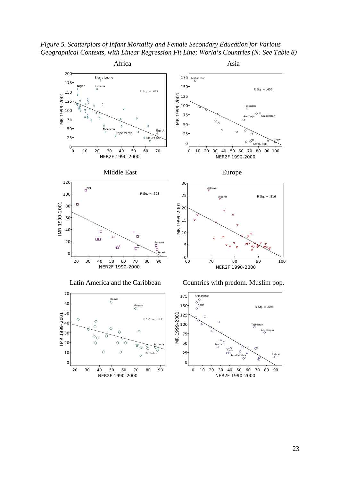*Figure 5. Scatterplots of Infant Mortality and Female Secondary Education for Various Geographical Contexts, with Linear Regression Fit Line; World's Countries (N: See Table 8)*

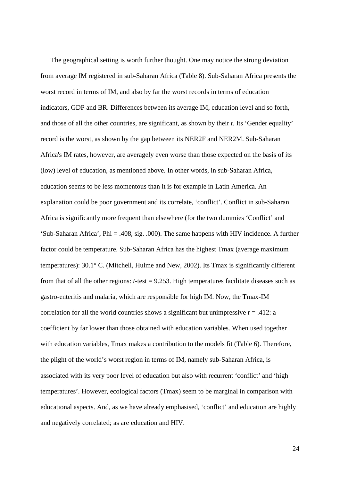The geographical setting is worth further thought. One may notice the strong deviation from average IM registered in sub-Saharan Africa (Table 8). Sub-Saharan Africa presents the worst record in terms of IM, and also by far the worst records in terms of education indicators, GDP and BR. Differences between its average IM, education level and so forth, and those of all the other countries, are significant, as shown by their *t*. Its 'Gender equality' record is the worst, as shown by the gap between its NER2F and NER2M. Sub-Saharan Africa's IM rates, however, are averagely even worse than those expected on the basis of its (low) level of education, as mentioned above. In other words, in sub-Saharan Africa, education seems to be less momentous than it is for example in Latin America. An explanation could be poor government and its correlate, 'conflict'. Conflict in sub-Saharan Africa is significantly more frequent than elsewhere (for the two dummies 'Conflict' and 'Sub-Saharan Africa', Phi = .408, sig. .000). The same happens with HIV incidence. A further factor could be temperature. Sub-Saharan Africa has the highest Tmax (average maximum temperatures): 30.1° C. (Mitchell, Hulme and New, 2002). Its Tmax is significantly different from that of all the other regions:  $t$ -test = 9.253. High temperatures facilitate diseases such as gastro-enteritis and malaria, which are responsible for high IM. Now, the Tmax-IM correlation for all the world countries shows a significant but unimpressive  $r = .412$ : a coefficient by far lower than those obtained with education variables. When used together with education variables, Tmax makes a contribution to the models fit (Table 6). Therefore, the plight of the world's worst region in terms of IM, namely sub-Saharan Africa, is associated with its very poor level of education but also with recurrent 'conflict' and 'high temperatures'. However, ecological factors (Tmax) seem to be marginal in comparison with educational aspects. And, as we have already emphasised, 'conflict' and education are highly and negatively correlated; as are education and HIV.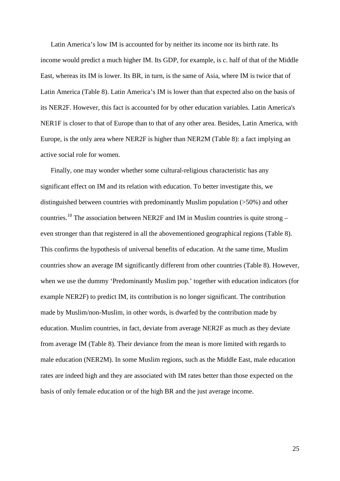Latin America's low IM is accounted for by neither its income nor its birth rate. Its income would predict a much higher IM. Its GDP, for example, is c. half of that of the Middle East, whereas its IM is lower. Its BR, in turn, is the same of Asia, where IM is twice that of Latin America (Table 8). Latin America's IM is lower than that expected also on the basis of its NER2F. However, this fact is accounted for by other education variables. Latin America's NER1F is closer to that of Europe than to that of any other area. Besides, Latin America, with Europe, is the only area where NER2F is higher than NER2M (Table 8): a fact implying an active social role for women.

Finally, one may wonder whether some cultural-religious characteristic has any significant effect on IM and its relation with education. To better investigate this, we distinguished between countries with predominantly Muslim population (>50%) and other countries.<sup>10</sup> The association between NER2F and IM in Muslim countries is quite strong – even stronger than that registered in all the abovementioned geographical regions (Table 8). This confirms the hypothesis of universal benefits of education. At the same time, Muslim countries show an average IM significantly different from other countries (Table 8). However, when we use the dummy 'Predominantly Muslim pop.' together with education indicators (for example NER2F) to predict IM, its contribution is no longer significant. The contribution made by Muslim/non-Muslim, in other words, is dwarfed by the contribution made by education. Muslim countries, in fact, deviate from average NER2F as much as they deviate from average IM (Table 8). Their deviance from the mean is more limited with regards to male education (NER2M). In some Muslim regions, such as the Middle East, male education rates are indeed high and they are associated with IM rates better than those expected on the basis of only female education or of the high BR and the just average income.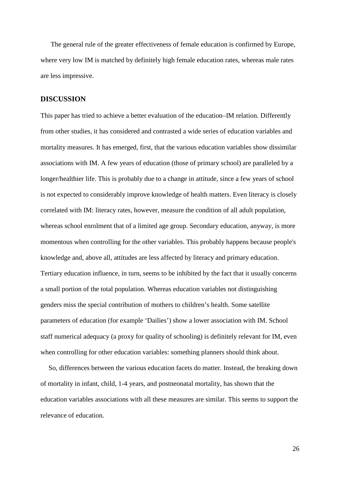The general rule of the greater effectiveness of female education is confirmed by Europe, where very low IM is matched by definitely high female education rates, whereas male rates are less impressive.

#### **DISCUSSION**

This paper has tried to achieve a better evaluation of the education–IM relation. Differently from other studies, it has considered and contrasted a wide series of education variables and mortality measures. It has emerged, first, that the various education variables show dissimilar associations with IM. A few years of education (those of primary school) are paralleled by a longer/healthier life. This is probably due to a change in attitude, since a few years of school is not expected to considerably improve knowledge of health matters. Even literacy is closely correlated with IM: literacy rates, however, measure the condition of all adult population, whereas school enrolment that of a limited age group. Secondary education, anyway, is more momentous when controlling for the other variables. This probably happens because people's knowledge and, above all, attitudes are less affected by literacy and primary education. Tertiary education influence, in turn, seems to be inhibited by the fact that it usually concerns a small portion of the total population. Whereas education variables not distinguishing genders miss the special contribution of mothers to children's health. Some satellite parameters of education (for example 'Dailies') show a lower association with IM. School staff numerical adequacy (a proxy for quality of schooling) is definitely relevant for IM, even when controlling for other education variables: something planners should think about.

So, differences between the various education facets do matter. Instead, the breaking down of mortality in infant, child, 1-4 years, and postneonatal mortality, has shown that the education variables associations with all these measures are similar. This seems to support the relevance of education.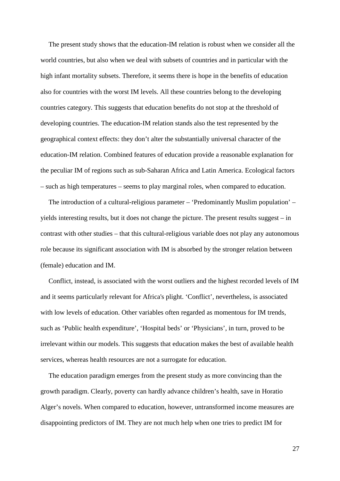The present study shows that the education-IM relation is robust when we consider all the world countries, but also when we deal with subsets of countries and in particular with the high infant mortality subsets. Therefore, it seems there is hope in the benefits of education also for countries with the worst IM levels. All these countries belong to the developing countries category. This suggests that education benefits do not stop at the threshold of developing countries. The education-IM relation stands also the test represented by the geographical context effects: they don't alter the substantially universal character of the education-IM relation. Combined features of education provide a reasonable explanation for the peculiar IM of regions such as sub-Saharan Africa and Latin America. Ecological factors – such as high temperatures – seems to play marginal roles, when compared to education.

The introduction of a cultural-religious parameter – 'Predominantly Muslim population' – yields interesting results, but it does not change the picture. The present results suggest – in contrast with other studies – that this cultural-religious variable does not play any autonomous role because its significant association with IM is absorbed by the stronger relation between (female) education and IM.

Conflict, instead, is associated with the worst outliers and the highest recorded levels of IM and it seems particularly relevant for Africa's plight. 'Conflict', nevertheless, is associated with low levels of education. Other variables often regarded as momentous for IM trends, such as 'Public health expenditure', 'Hospital beds' or 'Physicians', in turn, proved to be irrelevant within our models. This suggests that education makes the best of available health services, whereas health resources are not a surrogate for education.

The education paradigm emerges from the present study as more convincing than the growth paradigm. Clearly, poverty can hardly advance children's health, save in Horatio Alger's novels. When compared to education, however, untransformed income measures are disappointing predictors of IM. They are not much help when one tries to predict IM for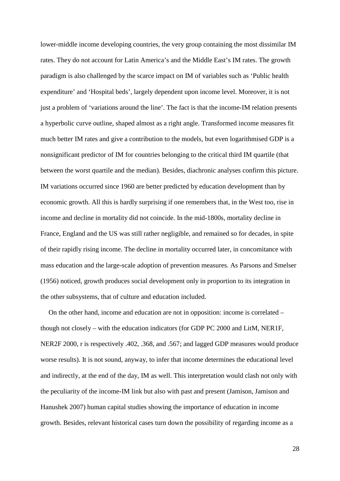lower-middle income developing countries, the very group containing the most dissimilar IM rates. They do not account for Latin America's and the Middle East's IM rates. The growth paradigm is also challenged by the scarce impact on IM of variables such as 'Public health expenditure' and 'Hospital beds', largely dependent upon income level. Moreover, it is not just a problem of 'variations around the line'. The fact is that the income-IM relation presents a hyperbolic curve outline, shaped almost as a right angle. Transformed income measures fit much better IM rates and give a contribution to the models, but even logarithmised GDP is a nonsignificant predictor of IM for countries belonging to the critical third IM quartile (that between the worst quartile and the median). Besides, diachronic analyses confirm this picture. IM variations occurred since 1960 are better predicted by education development than by economic growth. All this is hardly surprising if one remembers that, in the West too, rise in income and decline in mortality did not coincide. In the mid-1800s, mortality decline in France, England and the US was still rather negligible, and remained so for decades, in spite of their rapidly rising income. The decline in mortality occurred later, in concomitance with mass education and the large-scale adoption of prevention measures. As Parsons and Smelser (1956) noticed, growth produces social development only in proportion to its integration in the other subsystems, that of culture and education included.

On the other hand, income and education are not in opposition: income is correlated – though not closely – with the education indicators (for GDP PC 2000 and LitM, NER1F, NER2F 2000, r is respectively .402, .368, and .567; and lagged GDP measures would produce worse results). It is not sound, anyway, to infer that income determines the educational level and indirectly, at the end of the day, IM as well. This interpretation would clash not only with the peculiarity of the income-IM link but also with past and present (Jamison, Jamison and Hanushek 2007) human capital studies showing the importance of education in income growth. Besides, relevant historical cases turn down the possibility of regarding income as a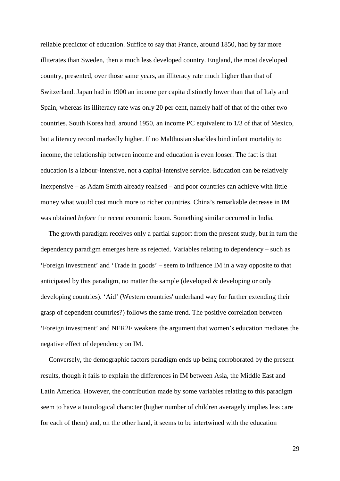reliable predictor of education. Suffice to say that France, around 1850, had by far more illiterates than Sweden, then a much less developed country. England, the most developed country, presented, over those same years, an illiteracy rate much higher than that of Switzerland. Japan had in 1900 an income per capita distinctly lower than that of Italy and Spain, whereas its illiteracy rate was only 20 per cent, namely half of that of the other two countries. South Korea had, around 1950, an income PC equivalent to 1/3 of that of Mexico, but a literacy record markedly higher. If no Malthusian shackles bind infant mortality to income, the relationship between income and education is even looser. The fact is that education is a labour-intensive, not a capital-intensive service. Education can be relatively inexpensive – as Adam Smith already realised – and poor countries can achieve with little money what would cost much more to richer countries. China's remarkable decrease in IM was obtained *before* the recent economic boom. Something similar occurred in India.

The growth paradigm receives only a partial support from the present study, but in turn the dependency paradigm emerges here as rejected. Variables relating to dependency – such as 'Foreign investment' and 'Trade in goods' – seem to influence IM in a way opposite to that anticipated by this paradigm, no matter the sample (developed & developing or only developing countries). 'Aid' (Western countries' underhand way for further extending their grasp of dependent countries?) follows the same trend. The positive correlation between 'Foreign investment' and NER2F weakens the argument that women's education mediates the negative effect of dependency on IM.

Conversely, the demographic factors paradigm ends up being corroborated by the present results, though it fails to explain the differences in IM between Asia, the Middle East and Latin America. However, the contribution made by some variables relating to this paradigm seem to have a tautological character (higher number of children averagely implies less care for each of them) and, on the other hand, it seems to be intertwined with the education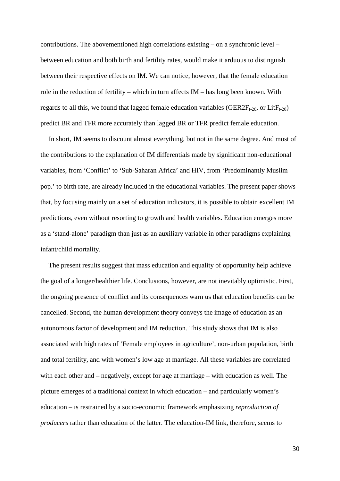contributions. The abovementioned high correlations existing – on a synchronic level – between education and both birth and fertility rates, would make it arduous to distinguish between their respective effects on IM. We can notice, however, that the female education role in the reduction of fertility – which in turn affects IM – has long been known. With regards to all this, we found that lagged female education variables ( $GER2F<sub>t-20</sub>$ , or Lit $F<sub>t-20</sub>$ ) predict BR and TFR more accurately than lagged BR or TFR predict female education.

In short, IM seems to discount almost everything, but not in the same degree. And most of the contributions to the explanation of IM differentials made by significant non-educational variables, from 'Conflict' to 'Sub-Saharan Africa' and HIV, from 'Predominantly Muslim pop.' to birth rate, are already included in the educational variables. The present paper shows that, by focusing mainly on a set of education indicators, it is possible to obtain excellent IM predictions, even without resorting to growth and health variables. Education emerges more as a 'stand-alone' paradigm than just as an auxiliary variable in other paradigms explaining infant/child mortality.

The present results suggest that mass education and equality of opportunity help achieve the goal of a longer/healthier life. Conclusions, however, are not inevitably optimistic. First, the ongoing presence of conflict and its consequences warn us that education benefits can be cancelled. Second, the human development theory conveys the image of education as an autonomous factor of development and IM reduction. This study shows that IM is also associated with high rates of 'Female employees in agriculture', non-urban population, birth and total fertility, and with women's low age at marriage. All these variables are correlated with each other and – negatively, except for age at marriage – with education as well. The picture emerges of a traditional context in which education – and particularly women's education – is restrained by a socio-economic framework emphasizing *reproduction of producers* rather than education of the latter. The education-IM link, therefore, seems to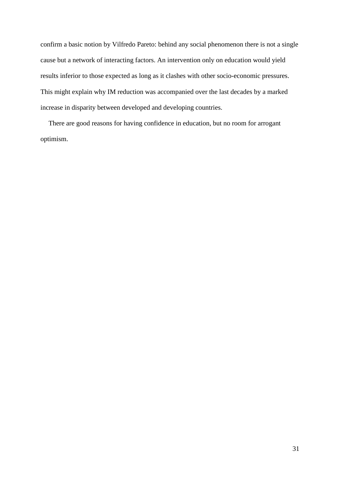confirm a basic notion by Vilfredo Pareto: behind any social phenomenon there is not a single cause but a network of interacting factors. An intervention only on education would yield results inferior to those expected as long as it clashes with other socio-economic pressures. This might explain why IM reduction was accompanied over the last decades by a marked increase in disparity between developed and developing countries.

There are good reasons for having confidence in education, but no room for arrogant optimism.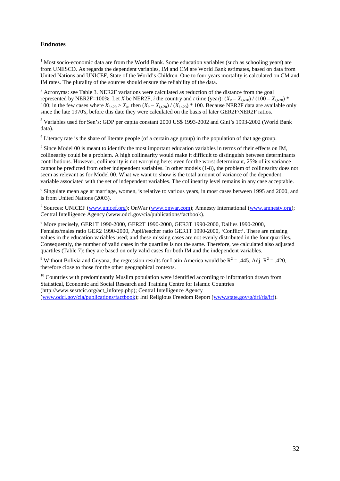#### **Endnotes**

<span id="page-33-0"></span> $1$  Most socio-economic data are from the World Bank. Some education variables (such as schooling years) are from UNESCO. As regards the dependent variables, IM and CM are World Bank estimates, based on data from United Nations and UNICEF, State of the World's Children. One to four years mortality is calculated on CM and IM rates. The plurality of the sources should ensure the reliability of the data.

<sup>2</sup> Acronyms: see Table 3. NER2F variations were calculated as reduction of the distance from the goal represented by NER2F=100%. Let *X* be NER2F, *i* the country and *t* time (year):  $(X_{it} - X_{i,t-20}) / (100 - X_{i,t-20})$  \* 100; in the few cases where  $X_{i,t,20} > X_{i}$ , then  $(X_{i,t} - X_{i,t,20}) / (X_{i,t,20})$  \* 100. Because NER2F data are available only since the late 1970's, before this date they were calculated on the basis of later GER2F/NER2F ratios.

<sup>3</sup> Variables used for Sen's: GDP per capita constant 2000 US\$ 1993-2002 and Gini's 1993-2002 (World Bank data).

<sup>4</sup> Literacy rate is the share of literate people (of a certain age group) in the population of that age group.

<sup>5</sup> Since Model 00 is meant to identify the most important education variables in terms of their effects on IM, collinearity could be a problem. A high collinearity would make it difficult to distinguish between determinants contributions. However, collinearity is not worrying here: even for the worst determinant, 25% of its variance cannot be predicted from other independent variables. In other models (1-8), the problem of collinearity does not seem as relevant as for Model 00. What we want to show is the total amount of variance of the dependent variable associated with the set of independent variables. The collinearity level remains in any case acceptable.

<sup>6</sup> Singulate mean age at marriage, women, is relative to various years, in most cases between 1995 and 2000, and is from United Nations (2003).

<sup>7</sup> Sources: UNICEF [\(www.unicef.org\)](http://www.unicef.org/); OnWar [\(www.onwar.com\)](http://www.onwar.com/); Amnesty International [\(www.amnesty.org\)](http://www.amnesty.org/); Central Intelligence Agency (www.odci.gov/cia/publications/factbook).

<sup>8</sup> More precisely, GER1T 1990-2000, GER2T 1990-2000, GER3T 1990-2000, Dailies 1990-2000, Females/males ratio GER2 1990-2000, Pupil/teacher ratio GER1T 1990-2000, 'Conflict'. There are missing values in the education variables used; and these missing cases are not evenly distributed in the four quartiles. Consequently, the number of valid cases in the quartiles is not the same. Therefore, we calculated also adjusted quartiles (Table 7): they are based on only valid cases for both IM and the independent variables.

<sup>9</sup> Without Bolivia and Guyana, the regression results for Latin America would be  $R^2 = .445$ , Adj.  $R^2 = .420$ , therefore close to those for the other geographical contexts.

 $10$  Countries with predominantly Muslim population were identified according to information drawn from Statistical, Economic and Social Research and Training Centre for Islamic Countries (http://www.sesrtcic.org/act\_inforep.php); Central Intelligence Agency [\(www.odci.gov/cia/publications/factbook\)](http://www.odci.gov/cia/publications/factbook); Intl Religious Freedom Report [\(www.state.gov/g/drl/rls/irf\)](http://www.state.gov/g/drl/rls/irf).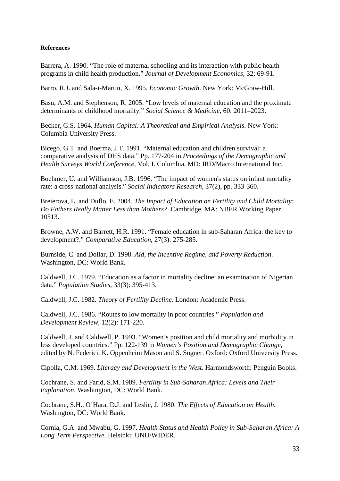#### **References**

Barrera, A. 1990. "The role of maternal schooling and its interaction with public health programs in child health production." *Journal of Development Economics*, 32: 69-91.

Barro, R.J. and Sala-i-Martin, X. 1995. *Economic Growth*. New York: McGraw-Hill.

Basu, A.M. and Stephenson, R. 2005. "Low levels of maternal education and the proximate determinants of childhood mortality." *Social Science & Medicine*, 60: 2011–2023.

Becker, G.S. 1964. *Human Capital: A Theoretical and Empirical Analysis*. New York: Columbia University Press.

Bicego, G.T. and Boerma, J.T. 1991. "Maternal education and children survival: a comparative analysis of DHS data." Pp. 177-204 in *Proceedings of the Demographic and Health Surveys World Conference*, Vol. I. Columbia, MD: IRD/Macro International Inc.

Boehmer, U. and Williamson, J.B. 1996. "The impact of women's status on infant mortality rate: a cross-national analysis." *Social Indicators Research*, 37(2), pp. 333-360.

Breierova, L. and Duflo, E. 2004. *The Impact of Education on Fertility and Child Mortality: Do Fathers Really Matter Less than Mothers?*. Cambridge, MA: NBER Working Paper 10513.

Browne, A.W. and Barrett, H.R. 1991. "Female education in sub-Saharan Africa: the key to development?." *Comparative Education*, 27(3): 275-285.

Burnside, C. and Dollar, D. 1998. *Aid, the Incentive Regime, and Poverty Reduction*. Washington, DC: World Bank.

Caldwell, J.C. 1979. "Education as a factor in mortality decline: an examination of Nigerian data." *Population Studies*, 33(3): 395-413.

Caldwell, J.C. 1982. *Theory of Fertility Decline*. London: Academic Press.

Caldwell, J.C. 1986. "Routes to low mortality in poor countries." *Population and Development Review*, 12(2): 171-220.

Caldwell, J. and Caldwell, P. 1993. "Women's position and child mortality and morbidity in less developed countries." Pp. 122-139 in *Women's Position and Demographic Change*, edited by N. Federici, K. Oppenheim Mason and S. Sogner. Oxford: Oxford University Press.

Cipolla, C.M. 1969. *Literacy and Development in the West*. Harmondsworth: Penguin Books.

Cochrane, S. and Farid, S.M. 1989. *Fertility in Sub-Saharan Africa: Levels and Their Explanation*. Washington, DC: World Bank.

Cochrane, S.H., O'Hara, D.J. and Leslie, J. 1980. *The Effects of Education on Health*. Washington, DC: World Bank.

Cornia, G.A. and Mwabu, G. 1997. *Health Status and Health Policy in Sub-Saharan Africa: A Long Term Perspective*. Helsinki: UNU/WIDER.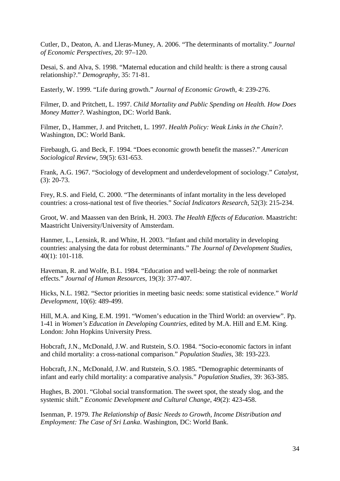Cutler, D., Deaton, A. and Lleras-Muney, A. 2006. "The determinants of mortality." *Journal of Economic Perspectives,* 20: 97–120.

Desai, S. and Alva, S. 1998. "Maternal education and child health: is there a strong causal relationship?." *Demography*, 35: 71-81.

Easterly, W. 1999. "Life during growth." *Journal of Economic Growth*, 4: 239-276.

Filmer, D. and Pritchett, L. 1997. *Child Mortality and Public Spending on Health. How Does Money Matter?*. Washington, DC: World Bank.

Filmer, D., Hammer, J. and Pritchett, L. 1997. *Health Policy: Weak Links in the Chain?*. Washington, DC: World Bank.

Firebaugh, G. and Beck, F. 1994. "Does economic growth benefit the masses?." *American Sociological Review*, 59(5): 631-653.

Frank, A.G. 1967. "Sociology of development and underdevelopment of sociology." *Catalyst*, (3): 20-73.

Frey, R.S. and Field, C. 2000. "The determinants of infant mortality in the less developed countries: a cross-national test of five theories." *Social Indicators Research*, 52(3): 215-234.

Groot, W. and Maassen van den Brink, H. 2003. *The Health Effects of Education*. Maastricht: Maastricht University/University of Amsterdam.

Hanmer, L., Lensink, R. and White, H. 2003. "Infant and child mortality in developing countries: analysing the data for robust determinants." *The Journal of Development Studies*, 40(1): 101-118.

Haveman, R. and Wolfe, B.L. 1984. "Education and well-being: the role of nonmarket effects." *Journal of Human Resources*, 19(3): 377-407.

Hicks, N.L. 1982. "Sector priorities in meeting basic needs: some statistical evidence." *World Development*, 10(6): 489-499.

Hill, M.A. and King, E.M. 1991. "Women's education in the Third World: an overview". Pp. 1-41 in *Women's Education in Developing Countries*, edited by M.A. Hill and E.M. King. London: John Hopkins University Press.

Hobcraft, J.N., McDonald, J.W. and Rutstein, S.O. 1984. "Socio-economic factors in infant and child mortality: a cross-national comparison." *Population Studies*, 38: 193-223.

Hobcraft, J.N., McDonald, J.W. and Rutstein, S.O. 1985. "Demographic determinants of infant and early child mortality: a comparative analysis." *Population Studies*, 39: 363-385.

Hughes, B. 2001. "Global social transformation. The sweet spot, the steady slog, and the systemic shift." *Economic Development and Cultural Change*, 49(2): 423-458.

Isenman, P. 1979. *The Relationship of Basic Needs to Growth, Income Distribution and Employment: The Case of Sri Lanka*. Washington, DC: World Bank.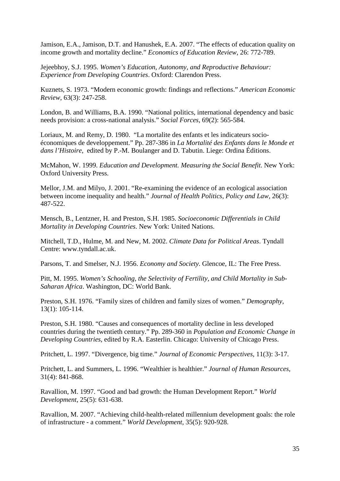Jamison, E.A., Jamison, D.T. and Hanushek, E.A. 2007. "The effects of education quality on income growth and mortality decline." *Economics of Education Review*, 26: 772-789.

Jejeebhoy, S.J. 1995. *Women's Education, Autonomy, and Reproductive Behaviour: Experience from Developing Countries*. Oxford: Clarendon Press.

Kuznets, S. 1973. "Modern economic growth: findings and reflections." *American Economic Review*, 63(3): 247-258.

London, B. and Williams, B.A. 1990. "National politics, international dependency and basic needs provision: a cross-national analysis." *Social Forces*, 69(2): 565-584.

Loriaux, M. and Remy, D. 1980. "La mortalite des enfants et les indicateurs socioéconomiques de developpement." Pp. 287-386 in *La Mortalité des Enfants dans le Monde et dans l'Histoire*, edited by P.-M. Boulanger and D. Tabutin. Liege: Ordina Éditions.

McMahon, W. 1999. *Education and Development. Measuring the Social Benefit*. New York: Oxford University Press.

Mellor, J.M. and Milyo, J. 2001. "Re-examining the evidence of an ecological association between income inequality and health." *Journal of Health Politics, Policy and Law*, 26(3): 487-522.

Mensch, B., Lentzner, H. and Preston, S.H. 1985. *Socioeconomic Differentials in Child Mortality in Developing Countries*. New York: United Nations.

Mitchell, T.D., Hulme, M. and New, M. 2002. *Climate Data for Political Areas*. Tyndall Centre: [www.tyndall.ac.uk.](http://www.tyndall.ac.uk/)

Parsons, T. and Smelser, N.J. 1956. *Economy and Society*. Glencoe, IL: The Free Press.

Pitt, M. 1995. *Women's Schooling, the Selectivity of Fertility, and Child Mortality in Sub-Saharan Africa*. Washington, DC: World Bank.

Preston, S.H. 1976. "Family sizes of children and family sizes of women." *Demography*, 13(1): 105-114.

Preston, S.H. 1980. "Causes and consequences of mortality decline in less developed countries during the twentieth century." Pp. 289-360 in *Population and Economic Change in Developing Countries*, edited by R.A. Easterlin. Chicago: University of Chicago Press.

Pritchett, L. 1997. "Divergence, big time." *Journal of Economic Perspectives*, 11(3): 3-17.

Pritchett, L. and Summers, L. 1996. "Wealthier is healthier." *Journal of Human Resources*, 31(4): 841-868.

Ravallion, M. 1997. "Good and bad growth: the Human Development Report." *World Development*, 25(5): 631-638.

Ravallion, M. 2007. "Achieving child-health-related millennium development goals: the role of infrastructure - a comment." *World Development*, 35(5): 920-928.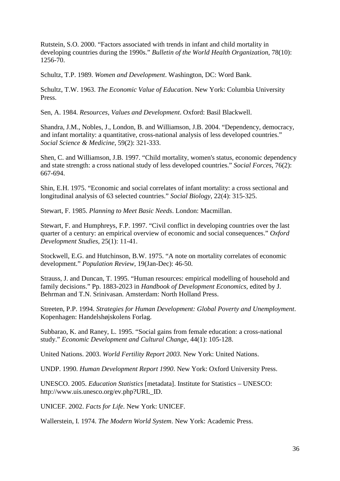Rutstein, S.O. 2000. "Factors associated with trends in infant and child mortality in developing countries during the 1990s." *Bulletin of the World Health Organization*, 78(10): 1256-70.

Schultz, T.P. 1989. *Women and Development*. Washington, DC: Word Bank.

Schultz, T.W. 1963. *The Economic Value of Education*. New York: Columbia University Press.

Sen, A. 1984. *Resources, Values and Development*. Oxford: Basil Blackwell.

Shandra, J.M., Nobles, J., London, B. and Williamson, J.B. 2004. "Dependency, democracy, and infant mortality: a quantitative, cross-national analysis of less developed countries." *Social Science & Medicine*, 59(2): 321-333.

Shen, C. and Williamson, J.B. 1997. "Child mortality, women's status, economic dependency and state strength: a cross national study of less developed countries." *Social Forces*, 76(2): 667-694.

Shin, E.H. 1975. "Economic and social correlates of infant mortality: a cross sectional and longitudinal analysis of 63 selected countries." *Social Biology*, 22(4): 315-325.

Stewart, F. 1985. *Planning to Meet Basic Needs*. London: Macmillan.

Stewart, F. and Humphreys, F.P. 1997. "Civil conflict in developing countries over the last quarter of a century: an empirical overview of economic and social consequences." *Oxford Development Studies*, 25(1): 11-41.

Stockwell, E.G. and Hutchinson, B.W. 1975. "A note on mortality correlates of economic development." *Population Review*, 19(Jan-Dec): 46-50.

Strauss, J. and Duncan, T. 1995. "Human resources: empirical modelling of household and family decisions." Pp. 1883-2023 in *Handbook of Development Economics*, edited by J. Behrman and T.N. Srinivasan. Amsterdam: North Holland Press.

Streeten, P.P. 1994. *Strategies for Human Development: Global Poverty and Unemployment*. Kopenhagen: Handelshøjskolens Forlag.

Subbarao, K. and Raney, L. 1995. "Social gains from female education: a cross-national study." *Economic Development and Cultural Change*, 44(1): 105-128.

United Nations. 2003. *World Fertility Report 2003*. New York: United Nations.

UNDP. 1990. *Human Development Report 1990*. New York: Oxford University Press.

UNESCO. 2005. *Education Statistics* [metadata]. Institute for Statistics – UNESCO: http://www.uis.unesco.org/ev.php?URL\_ID.

UNICEF. 2002. *Facts for Life*. New York: UNICEF.

Wallerstein, I. 1974. *The Modern World System*. New York: Academic Press.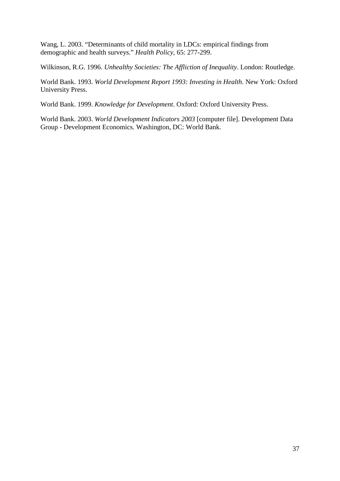Wang, L. 2003. "Determinants of child mortality in LDCs: empirical findings from demographic and health surveys." *Health Policy*, 65: 277-299.

Wilkinson, R.G. 1996. *Unhealthy Societies: The Affliction of Inequality*. London: Routledge.

World Bank. 1993. *World Development Report 1993: Investing in Health*. New York: Oxford University Press.

World Bank. 1999. *Knowledge for Development*. Oxford: Oxford University Press.

World Bank. 2003. *World Development Indicators 2003* [computer file]. Development Data Group - Development Economics. Washington, DC: World Bank.